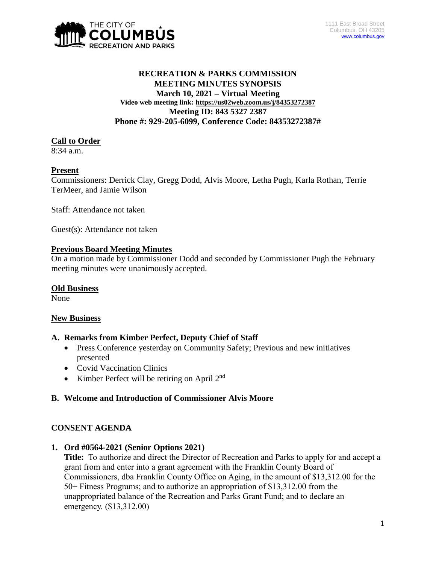

## **RECREATION & PARKS COMMISSION MEETING MINUTES SYNOPSIS March 10, 2021 – Virtual Meeting Video web meeting link: <https://us02web.zoom.us/j/84353272387> Meeting ID: 843 5327 2387 Phone #: 929-205-6099, Conference Code: 84353272387#**

## **Call to Order**

 $8:34$  a.m.

## **Present**

Commissioners: Derrick Clay, Gregg Dodd, Alvis Moore, Letha Pugh, Karla Rothan, Terrie TerMeer, and Jamie Wilson

Staff: Attendance not taken

Guest(s): Attendance not taken

## **Previous Board Meeting Minutes**

On a motion made by Commissioner Dodd and seconded by Commissioner Pugh the February meeting minutes were unanimously accepted.

### **Old Business**

None

### **New Business**

### **A. Remarks from Kimber Perfect, Deputy Chief of Staff**

- Press Conference yesterday on Community Safety; Previous and new initiatives presented
- Covid Vaccination Clinics
- Kimber Perfect will be retiring on April  $2<sup>nd</sup>$

### **B. Welcome and Introduction of Commissioner Alvis Moore**

### **CONSENT AGENDA**

**1. Ord #0564-2021 (Senior Options 2021)**

**Title:** To authorize and direct the Director of Recreation and Parks to apply for and accept a grant from and enter into a grant agreement with the Franklin County Board of Commissioners, dba Franklin County Office on Aging, in the amount of \$13,312.00 for the 50+ Fitness Programs; and to authorize an appropriation of \$13,312.00 from the unappropriated balance of the Recreation and Parks Grant Fund; and to declare an emergency. (\$13,312.00)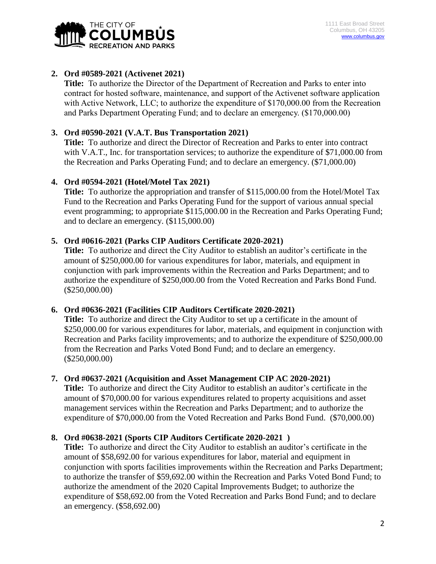

# **2. Ord #0589-2021 (Activenet 2021)**

**Title:** To authorize the Director of the Department of Recreation and Parks to enter into contract for hosted software, maintenance, and support of the Activenet software application with Active Network, LLC; to authorize the expenditure of \$170,000.00 from the Recreation and Parks Department Operating Fund; and to declare an emergency. (\$170,000.00)

# **3. Ord #0590-2021 (V.A.T. Bus Transportation 2021)**

**Title:** To authorize and direct the Director of Recreation and Parks to enter into contract with V.A.T., Inc. for transportation services; to authorize the expenditure of \$71,000.00 from the Recreation and Parks Operating Fund; and to declare an emergency. (\$71,000.00)

# **4. Ord #0594-2021 (Hotel/Motel Tax 2021)**

**Title:** To authorize the appropriation and transfer of \$115,000.00 from the Hotel/Motel Tax Fund to the Recreation and Parks Operating Fund for the support of various annual special event programming; to appropriate \$115,000.00 in the Recreation and Parks Operating Fund; and to declare an emergency. (\$115,000.00)

# **5. Ord #0616-2021 (Parks CIP Auditors Certificate 2020-2021)**

**Title:** To authorize and direct the City Auditor to establish an auditor's certificate in the amount of \$250,000.00 for various expenditures for labor, materials, and equipment in conjunction with park improvements within the Recreation and Parks Department; and to authorize the expenditure of \$250,000.00 from the Voted Recreation and Parks Bond Fund. (\$250,000.00)

# **6. Ord #0636-2021 (Facilities CIP Auditors Certificate 2020-2021)**

**Title:** To authorize and direct the City Auditor to set up a certificate in the amount of \$250,000.00 for various expenditures for labor, materials, and equipment in conjunction with Recreation and Parks facility improvements; and to authorize the expenditure of \$250,000.00 from the Recreation and Parks Voted Bond Fund; and to declare an emergency. (\$250,000.00)

# **7. Ord #0637-2021 (Acquisition and Asset Management CIP AC 2020-2021)**

**Title:** To authorize and direct the City Auditor to establish an auditor's certificate in the amount of \$70,000.00 for various expenditures related to property acquisitions and asset management services within the Recreation and Parks Department; and to authorize the expenditure of \$70,000.00 from the Voted Recreation and Parks Bond Fund. (\$70,000.00)

# **8. Ord #0638-2021 (Sports CIP Auditors Certificate 2020-2021 )**

**Title:** To authorize and direct the City Auditor to establish an auditor's certificate in the amount of \$58,692.00 for various expenditures for labor, material and equipment in conjunction with sports facilities improvements within the Recreation and Parks Department; to authorize the transfer of \$59,692.00 within the Recreation and Parks Voted Bond Fund; to authorize the amendment of the 2020 Capital Improvements Budget; to authorize the expenditure of \$58,692.00 from the Voted Recreation and Parks Bond Fund; and to declare an emergency. (\$58,692.00)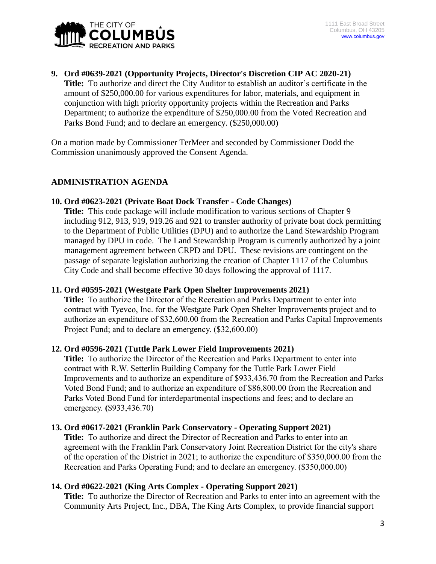

### **9. Ord #0639-2021 (Opportunity Projects, Director's Discretion CIP AC 2020-21)**

**Title:** To authorize and direct the City Auditor to establish an auditor's certificate in the amount of \$250,000.00 for various expenditures for labor, materials, and equipment in conjunction with high priority opportunity projects within the Recreation and Parks Department; to authorize the expenditure of \$250,000.00 from the Voted Recreation and Parks Bond Fund; and to declare an emergency. (\$250,000.00)

On a motion made by Commissioner TerMeer and seconded by Commissioner Dodd the Commission unanimously approved the Consent Agenda.

### **ADMINISTRATION AGENDA**

#### **10. Ord #0623-2021 (Private Boat Dock Transfer - Code Changes)**

**Title:** This code package will include modification to various sections of Chapter 9 including 912, 913, 919, 919.26 and 921 to transfer authority of private boat dock permitting to the Department of Public Utilities (DPU) and to authorize the Land Stewardship Program managed by DPU in code. The Land Stewardship Program is currently authorized by a joint management agreement between CRPD and DPU. These revisions are contingent on the passage of separate legislation authorizing the creation of Chapter 1117 of the Columbus City Code and shall become effective 30 days following the approval of 1117.

#### **11. Ord #0595-2021 (Westgate Park Open Shelter Improvements 2021)**

**Title:** To authorize the Director of the Recreation and Parks Department to enter into contract with Tyevco, Inc. for the Westgate Park Open Shelter Improvements project and to authorize an expenditure of \$32,600.00 from the Recreation and Parks Capital Improvements Project Fund; and to declare an emergency. (\$32,600.00)

#### **12. Ord #0596-2021 (Tuttle Park Lower Field Improvements 2021)**

**Title:** To authorize the Director of the Recreation and Parks Department to enter into contract with R.W. Setterlin Building Company for the Tuttle Park Lower Field Improvements and to authorize an expenditure of \$933,436.70 from the Recreation and Parks Voted Bond Fund; and to authorize an expenditure of \$86,800.00 from the Recreation and Parks Voted Bond Fund for interdepartmental inspections and fees; and to declare an emergency. **(**\$933,436.70)

#### **13. Ord #0617-2021 (Franklin Park Conservatory - Operating Support 2021)**

**Title:** To authorize and direct the Director of Recreation and Parks to enter into an agreement with the Franklin Park Conservatory Joint Recreation District for the city's share of the operation of the District in 2021; to authorize the expenditure of \$350,000.00 from the Recreation and Parks Operating Fund; and to declare an emergency. (\$350,000.00)

#### **14. Ord #0622-2021 (King Arts Complex - Operating Support 2021)**

**Title:** To authorize the Director of Recreation and Parks to enter into an agreement with the Community Arts Project, Inc., DBA, The King Arts Complex, to provide financial support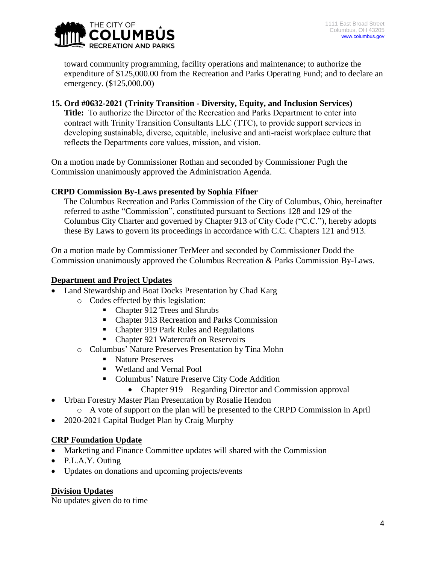

toward community programming, facility operations and maintenance; to authorize the expenditure of \$125,000.00 from the Recreation and Parks Operating Fund; and to declare an emergency. (\$125,000.00)

## **15. Ord #0632-2021 (Trinity Transition - Diversity, Equity, and Inclusion Services)**

**Title:** To authorize the Director of the Recreation and Parks Department to enter into contract with Trinity Transition Consultants LLC (TTC), to provide support services in developing sustainable, diverse, equitable, inclusive and anti-racist workplace culture that reflects the Departments core values, mission, and vision.

On a motion made by Commissioner Rothan and seconded by Commissioner Pugh the Commission unanimously approved the Administration Agenda.

### **CRPD Commission By-Laws presented by Sophia Fifner**

The Columbus Recreation and Parks Commission of the City of Columbus, Ohio, hereinafter referred to asthe "Commission", constituted pursuant to Sections 128 and 129 of the Columbus City Charter and governed by Chapter 913 of City Code ("C.C."), hereby adopts these By Laws to govern its proceedings in accordance with C.C. Chapters 121 and 913.

On a motion made by Commissioner TerMeer and seconded by Commissioner Dodd the Commission unanimously approved the Columbus Recreation & Parks Commission By-Laws.

## **Department and Project Updates**

- Land Stewardship and Boat Docks Presentation by Chad Karg
	- o Codes effected by this legislation:
		- Chapter 912 Trees and Shrubs
		- Chapter 913 Recreation and Parks Commission
		- Chapter 919 Park Rules and Regulations
		- Chapter 921 Watercraft on Reservoirs
		- o Columbus' Nature Preserves Presentation by Tina Mohn
			- Nature Preserves
			- Wetland and Vernal Pool
			- **Columbus' Nature Preserve City Code Addition** 
				- Chapter 919 Regarding Director and Commission approval
- Urban Forestry Master Plan Presentation by Rosalie Hendon
	- o A vote of support on the plan will be presented to the CRPD Commission in April
- 2020-2021 Capital Budget Plan by Craig Murphy

### **CRP Foundation Update**

- Marketing and Finance Committee updates will shared with the Commission
- P.L.A.Y. Outing
- Updates on donations and upcoming projects/events

# **Division Updates**

No updates given do to time